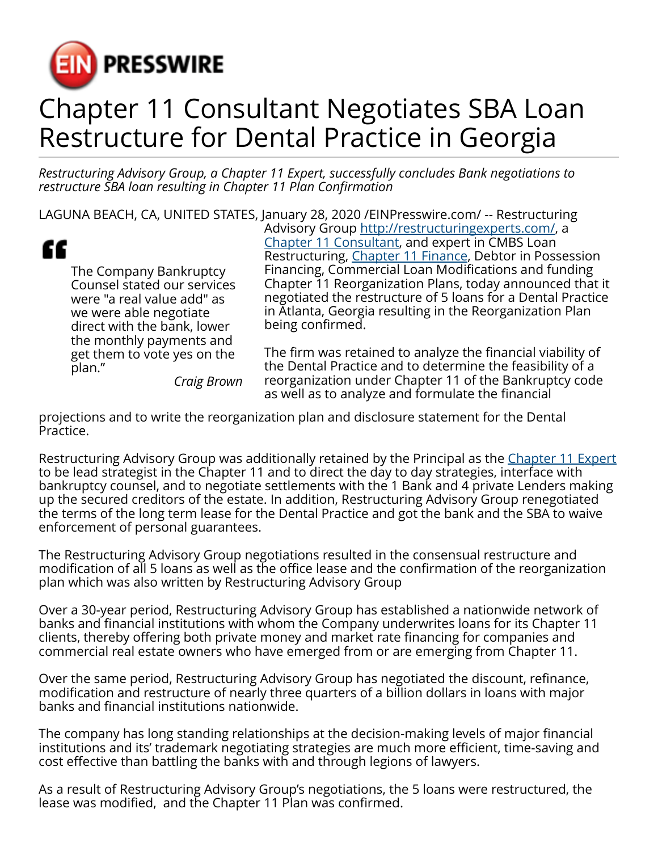

## Chapter 11 Consultant Negotiates SBA Loan Restructure for Dental Practice in Georgia

*Restructuring Advisory Group, a Chapter 11 Expert, successfully concludes Bank negotiations to restructure SBA loan resulting in Chapter 11 Plan Confirmation*

LAGUNA BEACH, CA, UNITED STATES, January 28, 2020 [/EINPresswire.com/](http://www.einpresswire.com) -- Restructuring



The Company Bankruptcy Counsel stated our services were "a real value add" as we were able negotiate direct with the bank, lower the monthly payments and get them to vote yes on the plan." *Craig Brown* Advisory Group [http://restructuringexperts.com/,](http://restructuringexperts.com/) a [Chapter 11 Consultant](http://restructuringexperts.com/whats-best-for-you/), and expert in CMBS Loan Restructuring, [Chapter 11 Finance](http://restructuringexperts.com/refinancings/), Debtor in Possession Financing, Commercial Loan Modifications and funding Chapter 11 Reorganization Plans, today announced that it negotiated the restructure of 5 loans for a Dental Practice in Atlanta, Georgia resulting in the Reorganization Plan being confirmed.

The firm was retained to analyze the financial viability of the Dental Practice and to determine the feasibility of a reorganization under Chapter 11 of the Bankruptcy code as well as to analyze and formulate the financial

projections and to write the reorganization plan and disclosure statement for the Dental Practice.

Restructuring Advisory Group was additionally retained by the Principal as the [Chapter 11 Expert](http://restructuringexperts.com/testimonials/) to be lead strategist in the Chapter 11 and to direct the day to day strategies, interface with bankruptcy counsel, and to negotiate settlements with the 1 Bank and 4 private Lenders making up the secured creditors of the estate. In addition, Restructuring Advisory Group renegotiated the terms of the long term lease for the Dental Practice and got the bank and the SBA to waive enforcement of personal guarantees.

The Restructuring Advisory Group negotiations resulted in the consensual restructure and modification of all 5 loans as well as the office lease and the confirmation of the reorganization plan which was also written by Restructuring Advisory Group

Over a 30-year period, Restructuring Advisory Group has established a nationwide network of banks and financial institutions with whom the Company underwrites loans for its Chapter 11 clients, thereby offering both private money and market rate financing for companies and commercial real estate owners who have emerged from or are emerging from Chapter 11.

Over the same period, Restructuring Advisory Group has negotiated the discount, refinance, modification and restructure of nearly three quarters of a billion dollars in loans with major banks and financial institutions nationwide.

The company has long standing relationships at the decision-making levels of major financial institutions and its' trademark negotiating strategies are much more efficient, time-saving and cost effective than battling the banks with and through legions of lawyers.

As a result of Restructuring Advisory Group's negotiations, the 5 loans were restructured, the lease was modified, and the Chapter 11 Plan was confirmed.